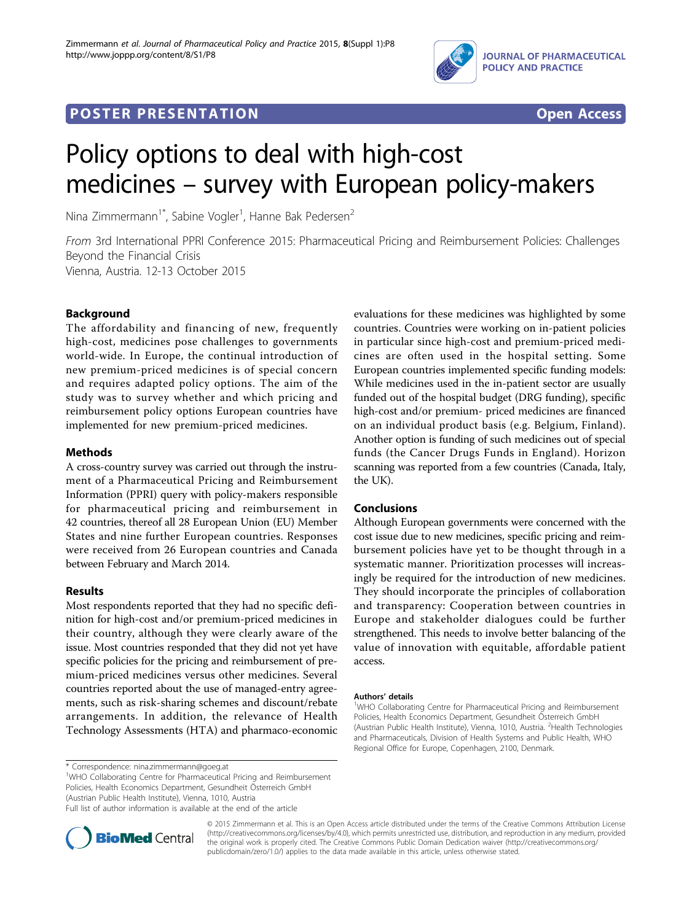

## **POSTER PRESENTATION CONSUMING THE SERVICE SERVICE SERVICES**



# Policy options to deal with high-cost medicines – survey with European policy-makers

Nina Zimmermann<sup>1\*</sup>, Sabine Vogler<sup>1</sup>, Hanne Bak Pedersen<sup>2</sup>

From 3rd International PPRI Conference 2015: Pharmaceutical Pricing and Reimbursement Policies: Challenges Beyond the Financial Crisis Vienna, Austria. 12-13 October 2015

### **Background**

The affordability and financing of new, frequently high-cost, medicines pose challenges to governments world-wide. In Europe, the continual introduction of new premium-priced medicines is of special concern and requires adapted policy options. The aim of the study was to survey whether and which pricing and reimbursement policy options European countries have implemented for new premium-priced medicines.

#### Methods

A cross-country survey was carried out through the instrument of a Pharmaceutical Pricing and Reimbursement Information (PPRI) query with policy-makers responsible for pharmaceutical pricing and reimbursement in 42 countries, thereof all 28 European Union (EU) Member States and nine further European countries. Responses were received from 26 European countries and Canada between February and March 2014.

#### Results

Most respondents reported that they had no specific definition for high-cost and/or premium-priced medicines in their country, although they were clearly aware of the issue. Most countries responded that they did not yet have specific policies for the pricing and reimbursement of premium-priced medicines versus other medicines. Several countries reported about the use of managed-entry agreements, such as risk-sharing schemes and discount/rebate arrangements. In addition, the relevance of Health Technology Assessments (HTA) and pharmaco-economic

\* Correspondence: [nina.zimmermann@goeg.at](mailto:nina.zimmermann@goeg.at)

<sup>1</sup>WHO Collaborating Centre for Pharmaceutical Pricing and Reimbursement Policies, Health Economics Department, Gesundheit Österreich GmbH (Austrian Public Health Institute), Vienna, 1010, Austria Full list of author information is available at the end of the article

evaluations for these medicines was highlighted by some countries. Countries were working on in-patient policies in particular since high-cost and premium-priced medicines are often used in the hospital setting. Some European countries implemented specific funding models: While medicines used in the in-patient sector are usually funded out of the hospital budget (DRG funding), specific high-cost and/or premium- priced medicines are financed on an individual product basis (e.g. Belgium, Finland). Another option is funding of such medicines out of special funds (the Cancer Drugs Funds in England). Horizon scanning was reported from a few countries (Canada, Italy, the UK).

#### Conclusions

Although European governments were concerned with the cost issue due to new medicines, specific pricing and reimbursement policies have yet to be thought through in a systematic manner. Prioritization processes will increasingly be required for the introduction of new medicines. They should incorporate the principles of collaboration and transparency: Cooperation between countries in Europe and stakeholder dialogues could be further strengthened. This needs to involve better balancing of the value of innovation with equitable, affordable patient access.

#### Authors' details <sup>1</sup>

<sup>1</sup>WHO Collaborating Centre for Pharmaceutical Pricing and Reimbursement Policies, Health Economics Department, Gesundheit Österreich GmbH (Austrian Public Health Institute), Vienna, 1010, Austria. <sup>2</sup>Health Technologies and Pharmaceuticals, Division of Health Systems and Public Health, WHO Regional Office for Europe, Copenhagen, 2100, Denmark.



© 2015 Zimmermann et al. This is an Open Access article distributed under the terms of the Creative Commons Attribution License [\(http://creativecommons.org/licenses/by/4.0](http://creativecommons.org/licenses/by/4.0)), which permits unrestricted use, distribution, and reproduction in any medium, provided the original work is properly cited. The Creative Commons Public Domain Dedication waiver ([http://creativecommons.org/](http://creativecommons.org/publicdomain/zero/1.0/) [publicdomain/zero/1.0/](http://creativecommons.org/publicdomain/zero/1.0/)) applies to the data made available in this article, unless otherwise stated.